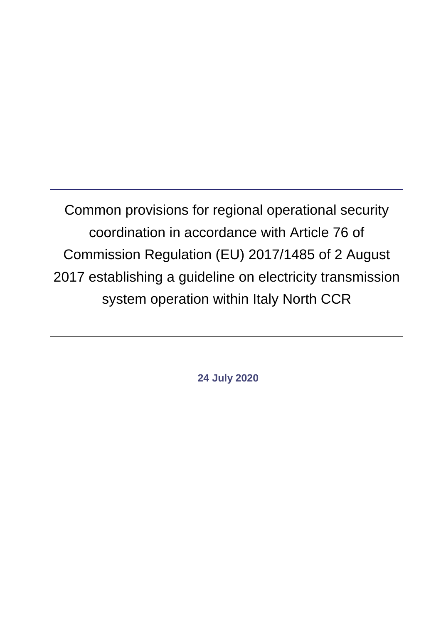Common provisions for regional operational security coordination in accordance with Article 76 of Commission Regulation (EU) 2017/1485 of 2 August 2017 establishing a guideline on electricity transmission system operation within Italy North CCR

**24 July 2020**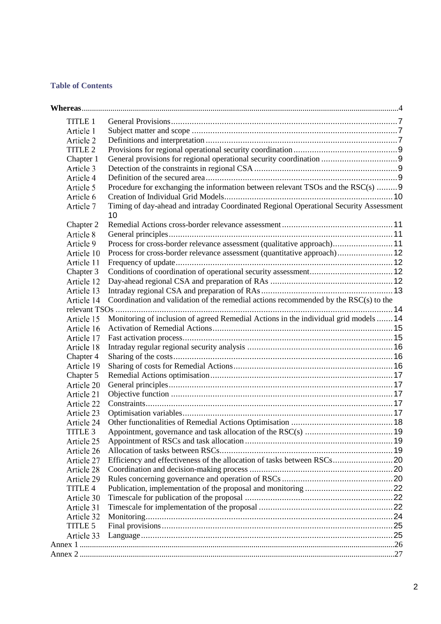### **Table of Contents**

| TITLE 1            |                                                                                       |  |
|--------------------|---------------------------------------------------------------------------------------|--|
| Article 1          |                                                                                       |  |
| Article 2          |                                                                                       |  |
| TITLE <sub>2</sub> |                                                                                       |  |
| Chapter 1          |                                                                                       |  |
| Article 3          |                                                                                       |  |
| Article 4          |                                                                                       |  |
| Article 5          | Procedure for exchanging the information between relevant TSOs and the RSC(s) 9       |  |
| Article 6          |                                                                                       |  |
| Article 7          | Timing of day-ahead and intraday Coordinated Regional Operational Security Assessment |  |
|                    | 10                                                                                    |  |
| Chapter 2          |                                                                                       |  |
| Article 8          |                                                                                       |  |
| Article 9          | Process for cross-border relevance assessment (qualitative approach)11                |  |
| Article 10         | Process for cross-border relevance assessment (quantitative approach) 12              |  |
| Article 11         |                                                                                       |  |
| Chapter 3          |                                                                                       |  |
| Article 12         |                                                                                       |  |
| Article 13         |                                                                                       |  |
| Article 14         | Coordination and validation of the remedial actions recommended by the RSC(s) to the  |  |
|                    |                                                                                       |  |
| Article 15         | Monitoring of inclusion of agreed Remedial Actions in the individual grid models  14  |  |
| Article 16         |                                                                                       |  |
| Article 17         |                                                                                       |  |
| Article 18         |                                                                                       |  |
| Chapter 4          |                                                                                       |  |
| Article 19         |                                                                                       |  |
| Chapter 5          |                                                                                       |  |
| Article 20         |                                                                                       |  |
| Article 21         |                                                                                       |  |
| Article 22         |                                                                                       |  |
| Article 23         |                                                                                       |  |
| Article 24         |                                                                                       |  |
| TITLE <sub>3</sub> |                                                                                       |  |
| Article 25         |                                                                                       |  |
| Article 26         |                                                                                       |  |
| Article 27         |                                                                                       |  |
| Article 28         |                                                                                       |  |
| Article 29         |                                                                                       |  |
| TITLE 4            |                                                                                       |  |
| Article 30         |                                                                                       |  |
| Article 31         |                                                                                       |  |
| Article 32         |                                                                                       |  |
| TITLE 5            |                                                                                       |  |
| Article 33         |                                                                                       |  |
|                    |                                                                                       |  |
|                    |                                                                                       |  |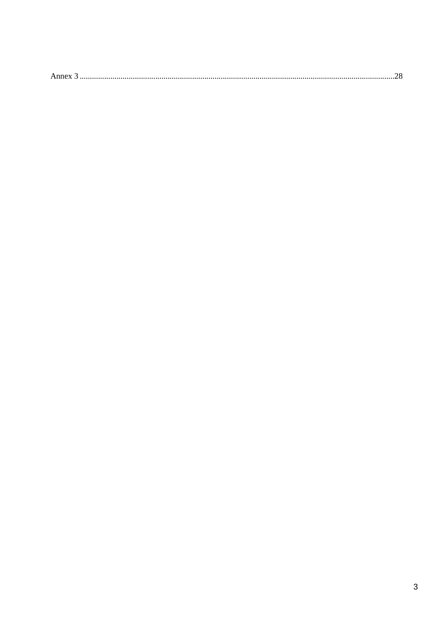|--|--|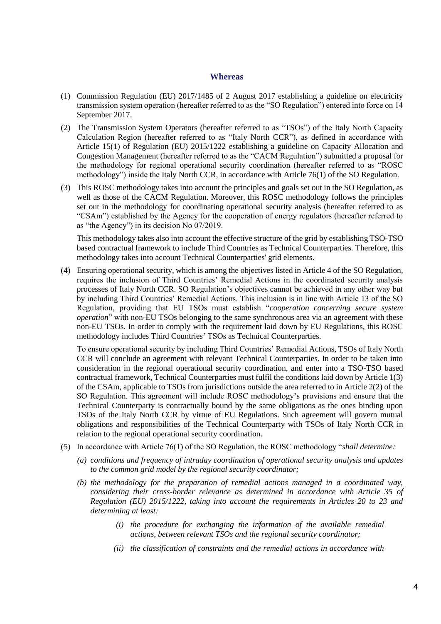#### **Whereas**

- <span id="page-3-0"></span>(1) Commission Regulation (EU) 2017/1485 of 2 August 2017 establishing a guideline on electricity transmission system operation (hereafter referred to as the "SO Regulation") entered into force on 14 September 2017.
- (2) The Transmission System Operators (hereafter referred to as "TSOs") of the Italy North Capacity Calculation Region (hereafter referred to as "Italy North CCR"), as defined in accordance with Article 15(1) of Regulation (EU) 2015/1222 establishing a guideline on Capacity Allocation and Congestion Management (hereafter referred to as the "CACM Regulation") submitted a proposal for the methodology for regional operational security coordination (hereafter referred to as "ROSC methodology") inside the Italy North CCR, in accordance with Article 76(1) of the SO Regulation.
- (3) This ROSC methodology takes into account the principles and goals set out in the SO Regulation, as well as those of the CACM Regulation. Moreover, this ROSC methodology follows the principles set out in the methodology for coordinating operational security analysis (hereafter referred to as "CSAm") established by the Agency for the cooperation of energy regulators (hereafter referred to as "the Agency") in its decision No 07/2019.

This methodology takes also into account the effective structure of the grid by establishing TSO-TSO based contractual framework to include Third Countries as Technical Counterparties. Therefore, this methodology takes into account Technical Counterparties' grid elements.

(4) Ensuring operational security, which is among the objectives listed in Article 4 of the SO Regulation, requires the inclusion of Third Countries' Remedial Actions in the coordinated security analysis processes of Italy North CCR. SO Regulation's objectives cannot be achieved in any other way but by including Third Countries' Remedial Actions. This inclusion is in line with Article 13 of the SO Regulation, providing that EU TSOs must establish "*cooperation concerning secure system operation*" with non-EU TSOs belonging to the same synchronous area via an agreement with these non-EU TSOs. In order to comply with the requirement laid down by EU Regulations, this ROSC methodology includes Third Countries' TSOs as Technical Counterparties.

To ensure operational security by including Third Countries' Remedial Actions, TSOs of Italy North CCR will conclude an agreement with relevant Technical Counterparties. In order to be taken into consideration in the regional operational security coordination, and enter into a TSO-TSO based contractual framework, Technical Counterparties must fulfil the conditions laid down by Article 1(3) of the CSAm, applicable to TSOs from jurisdictions outside the area referred to in Article 2(2) of the SO Regulation. This agreement will include ROSC methodology's provisions and ensure that the Technical Counterparty is contractually bound by the same obligations as the ones binding upon TSOs of the Italy North CCR by virtue of EU Regulations. Such agreement will govern mutual obligations and responsibilities of the Technical Counterparty with TSOs of Italy North CCR in relation to the regional operational security coordination.

- (5) In accordance with Article 76(1) of the SO Regulation, the ROSC methodology "*shall determine:*
	- *(a) conditions and frequency of intraday coordination of operational security analysis and updates to the common grid model by the regional security coordinator;*
	- *(b) the methodology for the preparation of remedial actions managed in a coordinated way, considering their cross-border relevance as determined in accordance with Article 35 of Regulation (EU) 2015/1222, taking into account the requirements in Articles 20 to 23 and determining at least:* 
		- *(i) the procedure for exchanging the information of the available remedial actions, between relevant TSOs and the regional security coordinator;*
		- *(ii) the classification of constraints and the remedial actions in accordance with*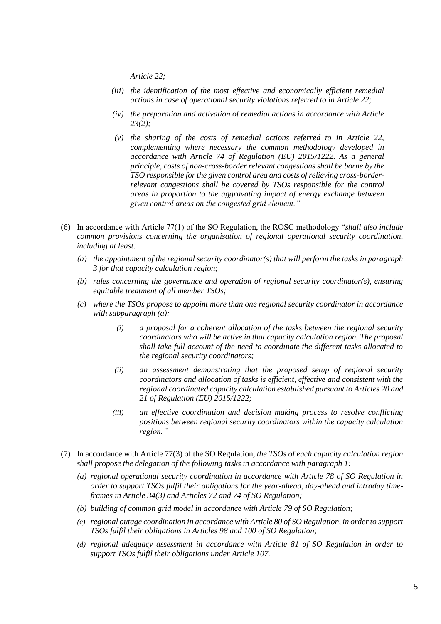*Article 22;* 

- *(iii) the identification of the most effective and economically efficient remedial actions in case of operational security violations referred to in Article 22;*
- *(iv) the preparation and activation of remedial actions in accordance with Article 23(2);*
- *(v) the sharing of the costs of remedial actions referred to in Article 22, complementing where necessary the common methodology developed in accordance with Article 74 of Regulation (EU) 2015/1222. As a general principle, costs of non-cross-border relevant congestions shall be borne by the TSO responsible for the given control area and costs of relieving cross-borderrelevant congestions shall be covered by TSOs responsible for the control areas in proportion to the aggravating impact of energy exchange between given control areas on the congested grid element."*
- (6) In accordance with Article 77(1) of the SO Regulation, the ROSC methodology "*shall also include common provisions concerning the organisation of regional operational security coordination, including at least:* 
	- *(a) the appointment of the regional security coordinator(s) that will perform the tasks in paragraph 3 for that capacity calculation region;*
	- *(b) rules concerning the governance and operation of regional security coordinator(s), ensuring equitable treatment of all member TSOs;*
	- *(c) where the TSOs propose to appoint more than one regional security coordinator in accordance with subparagraph (a):* 
		- *(i) a proposal for a coherent allocation of the tasks between the regional security coordinators who will be active in that capacity calculation region. The proposal shall take full account of the need to coordinate the different tasks allocated to the regional security coordinators;*
		- *(ii) an assessment demonstrating that the proposed setup of regional security coordinators and allocation of tasks is efficient, effective and consistent with the regional coordinated capacity calculation established pursuant to Articles 20 and 21 of Regulation (EU) 2015/1222;*
		- *(iii) an effective coordination and decision making process to resolve conflicting positions between regional security coordinators within the capacity calculation region."*
- (7) In accordance with Article 77(3) of the SO Regulation*, the TSOs of each capacity calculation region shall propose the delegation of the following tasks in accordance with paragraph 1:* 
	- *(a) regional operational security coordination in accordance with Article 78 of SO Regulation in order to support TSOs fulfil their obligations for the year-ahead, day-ahead and intraday timeframes in Article 34(3) and Articles 72 and 74 of SO Regulation;*
	- *(b) building of common grid model in accordance with Article 79 of SO Regulation;*
	- *(c) regional outage coordination in accordance with Article 80 of SO Regulation, in order to support TSOs fulfil their obligations in Articles 98 and 100 of SO Regulation;*
	- *(d) regional adequacy assessment in accordance with Article 81 of SO Regulation in order to support TSOs fulfil their obligations under Article 107.*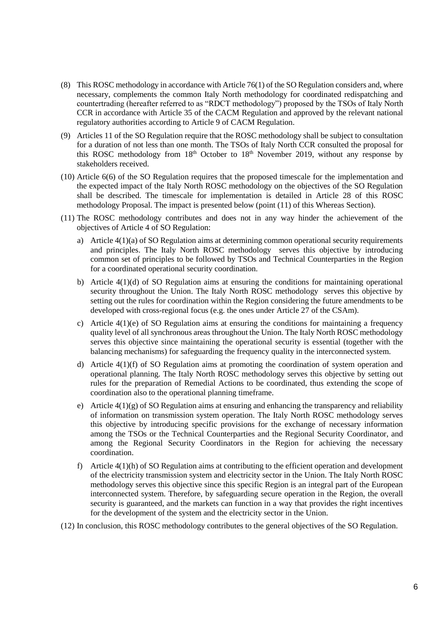- (8) This ROSC methodology in accordance with Article 76(1) of the SO Regulation considers and, where necessary, complements the common Italy North methodology for coordinated redispatching and countertrading (hereafter referred to as "RDCT methodology") proposed by the TSOs of Italy North CCR in accordance with Article 35 of the CACM Regulation and approved by the relevant national regulatory authorities according to Article 9 of CACM Regulation.
- (9) Articles 11 of the SO Regulation require that the ROSC methodology shall be subject to consultation for a duration of not less than one month. The TSOs of Italy North CCR consulted the proposal for this ROSC methodology from 18<sup>th</sup> October to 18<sup>th</sup> November 2019, without any response by stakeholders received.
- (10) Article 6(6) of the SO Regulation requires that the proposed timescale for the implementation and the expected impact of the Italy North ROSC methodology on the objectives of the SO Regulation shall be described. The timescale for implementation is detailed in Article 28 of this ROSC methodology Proposal. The impact is presented below (point (11) of this Whereas Section).
- (11) The ROSC methodology contributes and does not in any way hinder the achievement of the objectives of Article 4 of SO Regulation:
	- a) Article 4(1)(a) of SO Regulation aims at determining common operational security requirements and principles. The Italy North ROSC methodology serves this objective by introducing common set of principles to be followed by TSOs and Technical Counterparties in the Region for a coordinated operational security coordination.
	- b) Article 4(1)(d) of SO Regulation aims at ensuring the conditions for maintaining operational security throughout the Union. The Italy North ROSC methodology serves this objective by setting out the rules for coordination within the Region considering the future amendments to be developed with cross-regional focus (e.g. the ones under Article 27 of the CSAm).
	- c) Article  $4(1)(e)$  of SO Regulation aims at ensuring the conditions for maintaining a frequency quality level of all synchronous areas throughout the Union. The Italy North ROSC methodology serves this objective since maintaining the operational security is essential (together with the balancing mechanisms) for safeguarding the frequency quality in the interconnected system.
	- d) Article 4(1)(f) of SO Regulation aims at promoting the coordination of system operation and operational planning. The Italy North ROSC methodology serves this objective by setting out rules for the preparation of Remedial Actions to be coordinated, thus extending the scope of coordination also to the operational planning timeframe.
	- e) Article  $4(1)(g)$  of SO Regulation aims at ensuring and enhancing the transparency and reliability of information on transmission system operation. The Italy North ROSC methodology serves this objective by introducing specific provisions for the exchange of necessary information among the TSOs or the Technical Counterparties and the Regional Security Coordinator, and among the Regional Security Coordinators in the Region for achieving the necessary coordination.
	- f) Article 4(1)(h) of SO Regulation aims at contributing to the efficient operation and development of the electricity transmission system and electricity sector in the Union. The Italy North ROSC methodology serves this objective since this specific Region is an integral part of the European interconnected system. Therefore, by safeguarding secure operation in the Region, the overall security is guaranteed, and the markets can function in a way that provides the right incentives for the development of the system and the electricity sector in the Union.
- (12) In conclusion, this ROSC methodology contributes to the general objectives of the SO Regulation.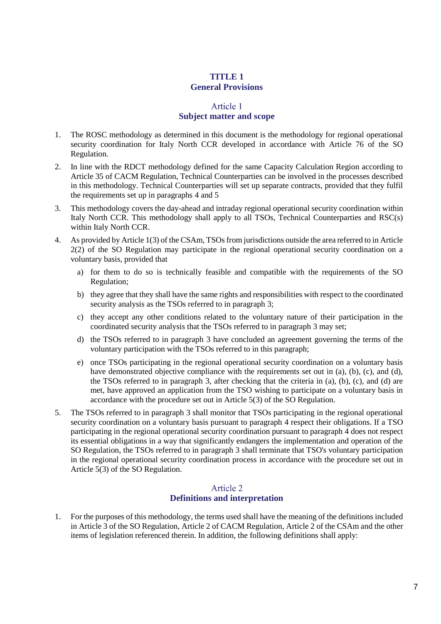# **TITLE 1 General Provisions**

### Article 1 **Subject matter and scope**

- <span id="page-6-1"></span><span id="page-6-0"></span>1. The ROSC methodology as determined in this document is the methodology for regional operational security coordination for Italy North CCR developed in accordance with Article 76 of the SO Regulation.
- 2. In line with the RDCT methodology defined for the same Capacity Calculation Region according to Article 35 of CACM Regulation, Technical Counterparties can be involved in the processes described in this methodology. Technical Counterparties will set up separate contracts, provided that they fulfil the requirements set up in paragraphs [4](#page-6-3) an[d 5](#page-6-4)
- <span id="page-6-5"></span>3. This methodology covers the day-ahead and intraday regional operational security coordination within Italy North CCR. This methodology shall apply to all TSOs, Technical Counterparties and RSC(s) within Italy North CCR.
- <span id="page-6-3"></span>4. As provided by Article 1(3) of the CSAm, TSOs from jurisdictions outside the area referred to in Article 2(2) of the SO Regulation may participate in the regional operational security coordination on a voluntary basis, provided that
	- a) for them to do so is technically feasible and compatible with the requirements of the SO Regulation;
	- b) they agree that they shall have the same rights and responsibilities with respect to the coordinated security analysis as the TSOs referred to in paragraph [3;](#page-6-5)
	- c) they accept any other conditions related to the voluntary nature of their participation in the coordinated security analysis that the TSOs referred to in paragraph [3](#page-6-5) may set;
	- d) the TSOs referred to in paragraph [3](#page-6-5) have concluded an agreement governing the terms of the voluntary participation with the TSOs referred to in this paragraph;
	- e) once TSOs participating in the regional operational security coordination on a voluntary basis have demonstrated objective compliance with the requirements set out in (a), (b), (c), and (d), the TSOs referred to in paragraph [3,](#page-6-5) after checking that the criteria in (a), (b), (c), and (d) are met, have approved an application from the TSO wishing to participate on a voluntary basis in accordance with the procedure set out in Article 5(3) of the SO Regulation.
- <span id="page-6-4"></span>5. The TSOs referred to in paragraph 3 shall monitor that TSOs participating in the regional operational security coordination on a voluntary basis pursuant to paragraph 4 respect their obligations. If a TSO participating in the regional operational security coordination pursuant to paragraph 4 does not respect its essential obligations in a way that significantly endangers the implementation and operation of the SO Regulation, the TSOs referred to in paragraph [3](#page-6-5) shall terminate that TSO's voluntary participation in the regional operational security coordination process in accordance with the procedure set out in Article 5(3) of the SO Regulation.

#### Article 2 **Definitions and interpretation**

<span id="page-6-2"></span>1. For the purposes of this methodology, the terms used shall have the meaning of the definitions included in Article 3 of the SO Regulation, Article 2 of CACM Regulation, Article 2 of the CSAm and the other items of legislation referenced therein. In addition, the following definitions shall apply: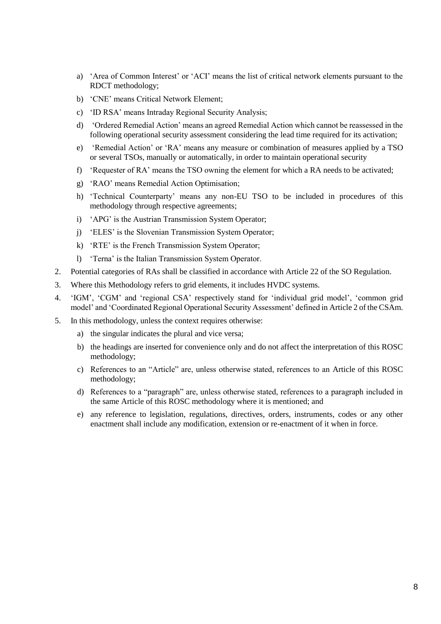- a) 'Area of Common Interest' or 'ACI' means the list of critical network elements pursuant to the RDCT methodology;
- b) 'CNE' means Critical Network Element;
- c) 'ID RSA' means Intraday Regional Security Analysis;
- d) 'Ordered Remedial Action' means an agreed Remedial Action which cannot be reassessed in the following operational security assessment considering the lead time required for its activation;
- e) 'Remedial Action' or 'RA' means any measure or combination of measures applied by a TSO or several TSOs, manually or automatically, in order to maintain operational security
- f) 'Requester of RA' means the TSO owning the element for which a RA needs to be activated;
- g) 'RAO' means Remedial Action Optimisation;
- h) 'Technical Counterparty' means any non-EU TSO to be included in procedures of this methodology through respective agreements;
- i) 'APG' is the Austrian Transmission System Operator;
- j) 'ELES' is the Slovenian Transmission System Operator;
- k) 'RTE' is the French Transmission System Operator;
- l) 'Terna' is the Italian Transmission System Operator.
- 2. Potential categories of RAs shall be classified in accordance with Article 22 of the SO Regulation.
- 3. Where this Methodology refers to grid elements, it includes HVDC systems.
- 4. 'IGM', 'CGM' and 'regional CSA' respectively stand for 'individual grid model', 'common grid model' and 'Coordinated Regional Operational Security Assessment' defined in Article 2 of the CSAm.
- 5. In this methodology, unless the context requires otherwise:
	- a) the singular indicates the plural and vice versa;
	- b) the headings are inserted for convenience only and do not affect the interpretation of this ROSC methodology;
	- c) References to an "Article" are, unless otherwise stated, references to an Article of this ROSC methodology;
	- d) References to a "paragraph" are, unless otherwise stated, references to a paragraph included in the same Article of this ROSC methodology where it is mentioned; and
	- e) any reference to legislation, regulations, directives, orders, instruments, codes or any other enactment shall include any modification, extension or re-enactment of it when in force.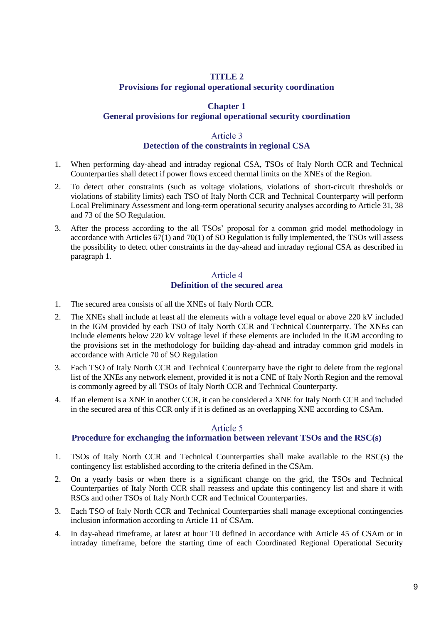### **TITLE 2**

#### **Provisions for regional operational security coordination**

### **Chapter 1**

#### <span id="page-8-0"></span>**General provisions for regional operational security coordination**

### Article 3

#### **Detection of the constraints in regional CSA**

- <span id="page-8-2"></span><span id="page-8-1"></span>1. When performing day-ahead and intraday regional CSA, TSOs of Italy North CCR and Technical Counterparties shall detect if power flows exceed thermal limits on the XNEs of the Region.
- 2. To detect other constraints (such as voltage violations, violations of short-circuit thresholds or violations of stability limits) each TSO of Italy North CCR and Technical Counterparty will perform Local Preliminary Assessment and long-term operational security analyses according to Article 31, 38 and 73 of the SO Regulation.
- 3. After the process according to the all TSOs' proposal for a common grid model methodology in accordance with Articles 67(1) and 70(1) of SO Regulation is fully implemented, the TSOs will assess the possibility to detect other constraints in the day-ahead and intraday regional CSA as described in paragraph 1.

### Article 4 **Definition of the secured area**

- <span id="page-8-3"></span>1. The secured area consists of all the XNEs of Italy North CCR.
- 2. The XNEs shall include at least all the elements with a voltage level equal or above 220 kV included in the IGM provided by each TSO of Italy North CCR and Technical Counterparty. The XNEs can include elements below 220 kV voltage level if these elements are included in the IGM according to the provisions set in the methodology for building day-ahead and intraday common grid models in accordance with Article 70 of SO Regulation
- 3. Each TSO of Italy North CCR and Technical Counterparty have the right to delete from the regional list of the XNEs any network element, provided it is not a CNE of Italy North Region and the removal is commonly agreed by all TSOs of Italy North CCR and Technical Counterparty.
- 4. If an element is a XNE in another CCR, it can be considered a XNE for Italy North CCR and included in the secured area of this CCR only if it is defined as an overlapping XNE according to CSAm.

#### Article 5

#### **Procedure for exchanging the information between relevant TSOs and the RSC(s)**

- <span id="page-8-4"></span>1. TSOs of Italy North CCR and Technical Counterparties shall make available to the RSC(s) the contingency list established according to the criteria defined in the CSAm.
- 2. On a yearly basis or when there is a significant change on the grid, the TSOs and Technical Counterparties of Italy North CCR shall reassess and update this contingency list and share it with RSCs and other TSOs of Italy North CCR and Technical Counterparties.
- 3. Each TSO of Italy North CCR and Technical Counterparties shall manage exceptional contingencies inclusion information according to Article 11 of CSAm.
- 4. In day-ahead timeframe, at latest at hour T0 defined in accordance with Article 45 of CSAm or in intraday timeframe, before the starting time of each Coordinated Regional Operational Security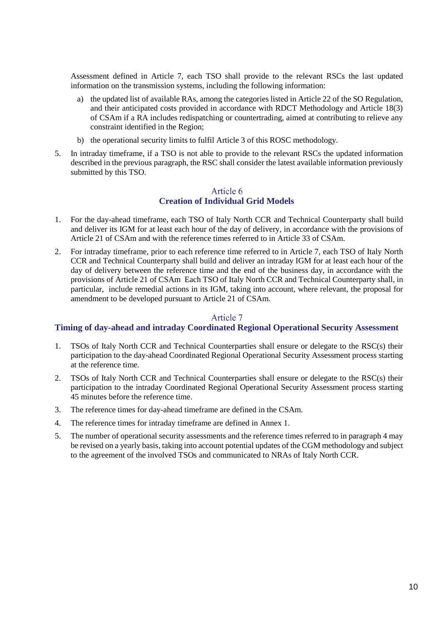Assessment defined in [Article 7,](#page-9-1) each TSO shall provide to the relevant RSCs the last updated information on the transmission systems, including the following information:

- a) the updated list of available RAs, among the categories listed in Article 22 of the SO Regulation, and their anticipated costs provided in accordance with RDCT Methodology and Article 18(3) of CSAm if a RA includes redispatching or countertrading, aimed at contributing to relieve any constraint identified in the Region;
- b) the operational security limits to fulfil [Article 3](#page-8-2) of this ROSC methodology.
- 5. In intraday timeframe, if a TSO is not able to provide to the relevant RSCs the updated information described in the previous paragraph, the RSC shall consider the latest available information previously submitted by this TSO.

### Article 6 **Creation of Individual Grid Models**

- <span id="page-9-0"></span>1. For the day-ahead timeframe, each TSO of Italy North CCR and Technical Counterparty shall build and deliver its IGM for at least each hour of the day of delivery, in accordance with the provisions of Article 21 of CSAm and with the reference times referred to in Article 33 of CSAm.
- 2. For intraday timeframe, prior to each reference time referred to in [Article 7,](#page-9-1) each TSO of Italy North CCR and Technical Counterparty shall build and deliver an intraday IGM for at least each hour of the day of delivery between the reference time and the end of the business day, in accordance with the provisions of Article 21 of CSAm Each TSO of Italy North CCR and Technical Counterparty shall, in particular, include remedial actions in its IGM, taking into account, where relevant, the proposal for amendment to be developed pursuant to Article 21 of CSAm.

### Article 7

#### <span id="page-9-1"></span>**Timing of day-ahead and intraday Coordinated Regional Operational Security Assessment**

- 1. TSOs of Italy North CCR and Technical Counterparties shall ensure or delegate to the RSC(s) their participation to the day-ahead Coordinated Regional Operational Security Assessment process starting at the reference time.
- 2. TSOs of Italy North CCR and Technical Counterparties shall ensure or delegate to the RSC(s) their participation to the intraday Coordinated Regional Operational Security Assessment process starting 45 minutes before the reference time.
- 3. The reference times for day-ahead timeframe are defined in the CSAm.
- 4. The reference times for intraday timeframe are defined in Annex 1.
- 5. The number of operational security assessments and the reference times referred to in paragraph 4 may be revised on a yearly basis, taking into account potential updates of the CGM methodology and subject to the agreement of the involved TSOs and communicated to NRAs of Italy North CCR.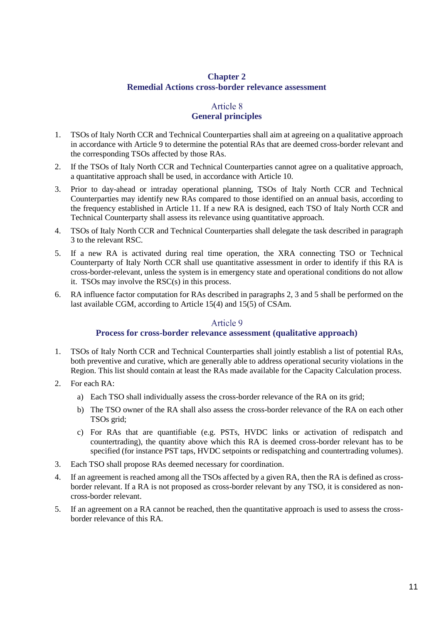### **Chapter 2 Remedial Actions cross-border relevance assessment**

# <span id="page-10-4"></span>Article 8 **General principles**

- <span id="page-10-1"></span><span id="page-10-0"></span>1. TSOs of Italy North CCR and Technical Counterparties shall aim at agreeing on a qualitative approach in accordance with [Article 9](#page-10-2) to determine the potential RAs that are deemed cross-border relevant and the corresponding TSOs affected by those RAs.
- 2. If the TSOs of Italy North CCR and Technical Counterparties cannot agree on a qualitative approach, a quantitative approach shall be used, in accordance with [Article 10.](#page-11-0)
- <span id="page-10-3"></span>3. Prior to day-ahead or intraday operational planning, TSOs of Italy North CCR and Technical Counterparties may identify new RAs compared to those identified on an annual basis, according to the frequency established in Article 11. If a new RA is designed, each TSO of Italy North CCR and Technical Counterparty shall assess its relevance using quantitative approach.
- 4. TSOs of Italy North CCR and Technical Counterparties shall delegate the task described in paragraph [3](#page-10-3) to the relevant RSC.
- <span id="page-10-5"></span>5. If a new RA is activated during real time operation, the XRA connecting TSO or Technical Counterparty of Italy North CCR shall use quantitative assessment in order to identify if this RA is cross-border-relevant, unless the system is in emergency state and operational conditions do not allow it. TSOs may involve the RSC(s) in this process.
- 6. RA influence factor computation for RAs described in paragraphs [2,](#page-10-4) [3](#page-10-3) and [5](#page-10-5) shall be performed on the last available CGM, according to Article 15(4) and 15(5) of CSAm.

#### Article 9

### **Process for cross-border relevance assessment (qualitative approach)**

- <span id="page-10-2"></span>1. TSOs of Italy North CCR and Technical Counterparties shall jointly establish a list of potential RAs, both preventive and curative, which are generally able to address operational security violations in the Region. This list should contain at least the RAs made available for the Capacity Calculation process.
- 2. For each RA:
	- a) Each TSO shall individually assess the cross-border relevance of the RA on its grid;
	- b) The TSO owner of the RA shall also assess the cross-border relevance of the RA on each other TSOs grid;
	- c) For RAs that are quantifiable (e.g. PSTs, HVDC links or activation of redispatch and countertrading), the quantity above which this RA is deemed cross-border relevant has to be specified (for instance PST taps, HVDC setpoints or redispatching and countertrading volumes).
- 3. Each TSO shall propose RAs deemed necessary for coordination.
- 4. If an agreement is reached among all the TSOs affected by a given RA, then the RA is defined as crossborder relevant. If a RA is not proposed as cross-border relevant by any TSO, it is considered as noncross-border relevant.
- 5. If an agreement on a RA cannot be reached, then the quantitative approach is used to assess the crossborder relevance of this RA.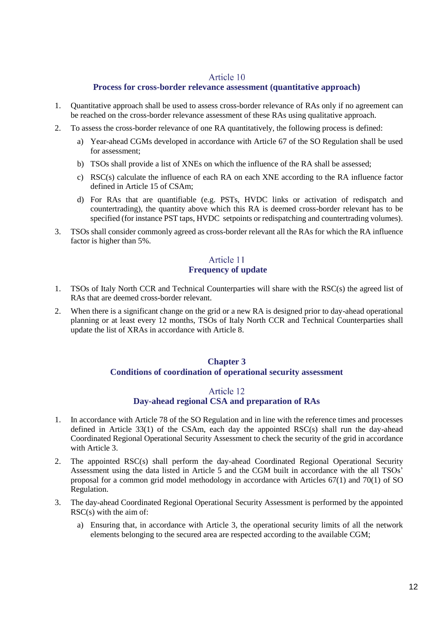### Article 10

### **Process for cross-border relevance assessment (quantitative approach)**

- <span id="page-11-0"></span>1. Quantitative approach shall be used to assess cross-border relevance of RAs only if no agreement can be reached on the cross-border relevance assessment of these RAs using qualitative approach.
- 2. To assess the cross-border relevance of one RA quantitatively, the following process is defined:
	- a) Year-ahead CGMs developed in accordance with Article 67 of the SO Regulation shall be used for assessment;
	- b) TSOs shall provide a list of XNEs on which the influence of the RA shall be assessed;
	- c) RSC(s) calculate the influence of each RA on each XNE according to the RA influence factor defined in Article 15 of CSAm;
	- d) For RAs that are quantifiable (e.g. PSTs, HVDC links or activation of redispatch and countertrading), the quantity above which this RA is deemed cross-border relevant has to be specified (for instance PST taps, HVDC setpoints or redispatching and countertrading volumes).
- 3. TSOs shall consider commonly agreed as cross-border relevant all the RAs for which the RA influence factor is higher than 5%.

### <span id="page-11-1"></span>Article 11 **Frequency of update**

- 1. TSOs of Italy North CCR and Technical Counterparties will share with the RSC(s) the agreed list of RAs that are deemed cross-border relevant.
- 2. When there is a significant change on the grid or a new RA is designed prior to day-ahead operational planning or at least every 12 months, TSOs of Italy North CCR and Technical Counterparties shall update the list of XRAs in accordance with [Article 8.](#page-10-1)

### **Chapter 3 Conditions of coordination of operational security assessment**

### Article 12

### **Day-ahead regional CSA and preparation of RAs**

- <span id="page-11-3"></span><span id="page-11-2"></span>1. In accordance with Article 78 of the SO Regulation and in line with the reference times and processes defined in Article 33(1) of the CSAm, each day the appointed RSC(s) shall run the day-ahead Coordinated Regional Operational Security Assessment to check the security of the grid in accordance with [Article 3.](#page-8-2)
- 2. The appointed RSC(s) shall perform the day-ahead Coordinated Regional Operational Security Assessment using the data listed in [Article 5](#page-8-4) and the CGM built in accordance with the all TSOs' proposal for a common grid model methodology in accordance with Articles  $67(1)$  and  $70(1)$  of SO Regulation.
- 3. The day-ahead Coordinated Regional Operational Security Assessment is performed by the appointed RSC(s) with the aim of:
	- a) Ensuring that, in accordance with [Article 3,](#page-8-2) the operational security limits of all the network elements belonging to the secured area are respected according to the available CGM;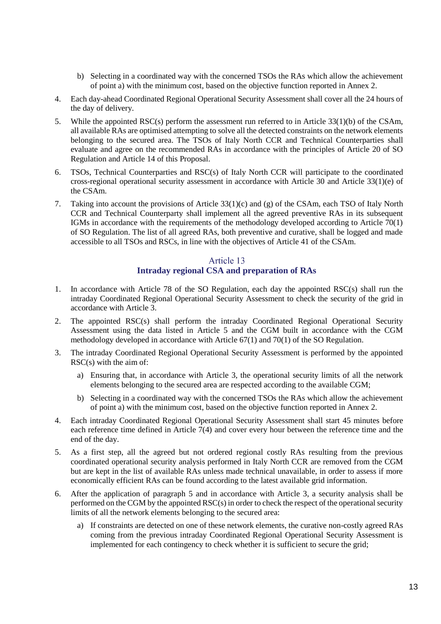- b) Selecting in a coordinated way with the concerned TSOs the RAs which allow the achievement of point a) with the minimum cost, based on the objective function reported in Annex 2.
- 4. Each day-ahead Coordinated Regional Operational Security Assessment shall cover all the 24 hours of the day of delivery.
- 5. While the appointed RSC(s) perform the assessment run referred to in Article 33(1)(b) of the CSAm, all available RAs are optimised attempting to solve all the detected constraints on the network elements belonging to the secured area. The TSOs of Italy North CCR and Technical Counterparties shall evaluate and agree on the recommended RAs in accordance with the principles of Article 20 of SO Regulation and [Article 14](#page-13-0) of this Proposal.
- 6. TSOs, Technical Counterparties and RSC(s) of Italy North CCR will participate to the coordinated cross-regional operational security assessment in accordance with Article 30 and Article 33(1)(e) of the CSAm.
- 7. Taking into account the provisions of Article 33(1)(c) and (g) of the CSAm, each TSO of Italy North CCR and Technical Counterparty shall implement all the agreed preventive RAs in its subsequent IGMs in accordance with the requirements of the methodology developed according to Article 70(1) of SO Regulation. The list of all agreed RAs, both preventive and curative, shall be logged and made accessible to all TSOs and RSCs, in line with the objectives of Article 41 of the CSAm.

## Article 13 **Intraday regional CSA and preparation of RAs**

- <span id="page-12-0"></span>1. In accordance with Article 78 of the SO Regulation, each day the appointed RSC(s) shall run the intraday Coordinated Regional Operational Security Assessment to check the security of the grid in accordance with [Article 3.](#page-8-2)
- 2. The appointed RSC(s) shall perform the intraday Coordinated Regional Operational Security Assessment using the data listed in [Article 5](#page-8-4) and the CGM built in accordance with the CGM methodology developed in accordance with Article 67(1) and 70(1) of the SO Regulation.
- 3. The intraday Coordinated Regional Operational Security Assessment is performed by the appointed RSC(s) with the aim of:
	- a) Ensuring that, in accordance with [Article](#page-8-2) 3, the operational security limits of all the network elements belonging to the secured area are respected according to the available CGM;
	- b) Selecting in a coordinated way with the concerned TSOs the RAs which allow the achievement of point a) with the minimum cost, based on the objective function reported in Annex 2.
- 4. Each intraday Coordinated Regional Operational Security Assessment shall start 45 minutes before each reference time defined in Article  $7(4)$  and cover every hour between the reference time and the end of the day.
- <span id="page-12-1"></span>5. As a first step, all the agreed but not ordered regional costly RAs resulting from the previous coordinated operational security analysis performed in Italy North CCR are removed from the CGM but are kept in the list of available RAs unless made technical unavailable, in order to assess if more economically efficient RAs can be found according to the latest available grid information.
- <span id="page-12-2"></span>6. After the application of paragraph [5](#page-12-1) and in accordance with [Article 3,](#page-8-2) a security analysis shall be performed on the CGM by the appointed RSC(s) in order to check the respect of the operational security limits of all the network elements belonging to the secured area:
	- a) If constraints are detected on one of these network elements, the curative non-costly agreed RAs coming from the previous intraday Coordinated Regional Operational Security Assessment is implemented for each contingency to check whether it is sufficient to secure the grid;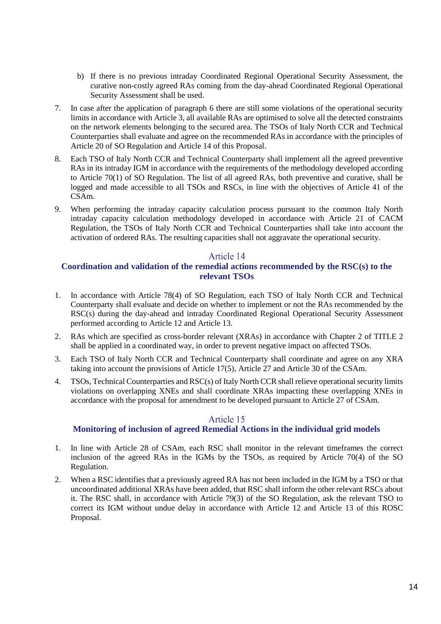- b) If there is no previous intraday Coordinated Regional Operational Security Assessment, the curative non-costly agreed RAs coming from the day-ahead Coordinated Regional Operational Security Assessment shall be used.
- 7. In case after the application of paragraph [6](#page-12-2) there are still some violations of the operational security limits in accordance with [Article 3,](#page-8-2) all available RAs are optimised to solve all the detected constraints on the network elements belonging to the secured area. The TSOs of Italy North CCR and Technical Counterparties shall evaluate and agree on the recommended RAs in accordance with the principles of Article 20 of SO Regulation and [Article 14](#page-13-0) of this Proposal.
- 8. Each TSO of Italy North CCR and Technical Counterparty shall implement all the agreed preventive RAs in its intraday IGM in accordance with the requirements of the methodology developed according to Article 70(1) of SO Regulation. The list of all agreed RAs, both preventive and curative, shall be logged and made accessible to all TSOs and RSCs, in line with the objectives of Article 41 of the CSAm.
- 9. When performing the intraday capacity calculation process pursuant to the common Italy North intraday capacity calculation methodology developed in accordance with Article 21 of CACM Regulation, the TSOs of Italy North CCR and Technical Counterparties shall take into account the activation of ordered RAs. The resulting capacities shall not aggravate the operational security.

#### Article 14

### <span id="page-13-0"></span>**Coordination and validation of the remedial actions recommended by the RSC(s) to the relevant TSOs**

- 1. In accordance with Article 78(4) of SO Regulation, each TSO of Italy North CCR and Technical Counterparty shall evaluate and decide on whether to implement or not the RAs recommended by the RSC(s) during the day-ahead and intraday Coordinated Regional Operational Security Assessment performed according to [Article 12](#page-11-3) and [Article 13.](#page-12-0)
- 2. RAs which are specified as cross-border relevant (XRAs) in accordance with [Chapter 2](#page-10-0) of [TITLE 2](#page-8-0) shall be applied in a coordinated way, in order to prevent negative impact on affected TSOs.
- 3. Each TSO of Italy North CCR and Technical Counterparty shall coordinate and agree on any XRA taking into account the provisions of Article 17(5), Article 27 and Article 30 of the CSAm.
- 4. TSOs, Technical Counterparties and RSC(s) of Italy North CCR shall relieve operational security limits violations on overlapping XNEs and shall coordinate XRAs impacting these overlapping XNEs in accordance with the proposal for amendment to be developed pursuant to Article 27 of CSAm.

#### Article 15

#### **Monitoring of inclusion of agreed Remedial Actions in the individual grid models**

- <span id="page-13-1"></span>1. In line with Article 28 of CSAm, each RSC shall monitor in the relevant timeframes the correct inclusion of the agreed RAs in the IGMs by the TSOs, as required by Article 70(4) of the SO Regulation.
- 2. When a RSC identifies that a previously agreed RA has not been included in the IGM by a TSO or that uncoordinated additional XRAs have been added, that RSC shall inform the other relevant RSCs about it. The RSC shall, in accordance with Article 79(3) of the SO Regulation, ask the relevant TSO to correct its IGM without undue delay in accordance with [Article 12](#page-11-3) and [Article 13](#page-12-0) of this ROSC Proposal.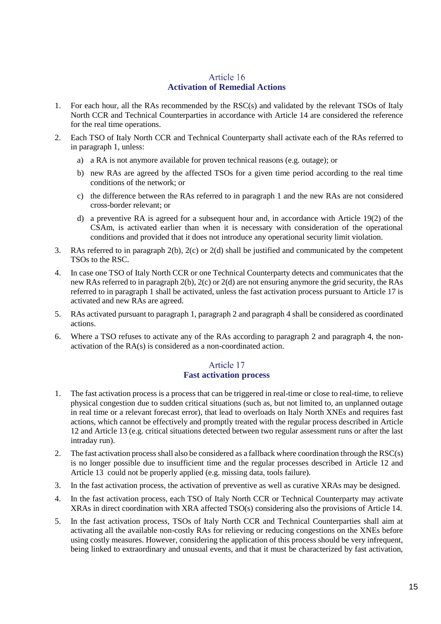## Article 16 **Activation of Remedial Actions**

- <span id="page-14-2"></span><span id="page-14-0"></span>1. For each hour, all the RAs recommended by the RSC(s) and validated by the relevant TSOs of Italy North CCR and Technical Counterparties in accordance with [Article 14](#page-13-0) are considered the reference for the real time operations.
- <span id="page-14-4"></span><span id="page-14-3"></span>2. Each TSO of Italy North CCR and Technical Counterparty shall activate each of the RAs referred to in paragraph [1,](#page-14-2) unless:
	- a) a RA is not anymore available for proven technical reasons (e.g. outage); or
	- b) new RAs are agreed by the affected TSOs for a given time period according to the real time conditions of the network; or
	- c) the difference between the RAs referred to in paragraph [1](#page-14-2) and the new RAs are not considered cross-border relevant; or
	- d) a preventive RA is agreed for a subsequent hour and, in accordance with Article 19(2) of the CSAm, is activated earlier than when it is necessary with consideration of the operational conditions and provided that it does not introduce any operational security limit violation.
- <span id="page-14-6"></span><span id="page-14-5"></span>3. RAs referred to in paragraph 2(b), 2(c) or 2(d) shall be justified and communicated by the competent TSOs to the RSC.
- 4. In case one TSO of Italy North CCR or one Technical Counterparty detects and communicates that the new RAs referred to in paragrap[h 2](#page-14-3)[\(b\),](#page-14-4) [2](#page-14-3)[\(c\)](#page-14-5) or [2\(](#page-14-3)[d\)](#page-14-6) are not ensuring anymore the grid security, the RAs referred to in paragraph 1 shall be activated, unless the fast activation process pursuant to [Article 17](#page-14-1) is activated and new RAs are agreed.
- 5. RAs activated pursuant to paragraph 1, paragraph 2 and paragraph 4 shall be considered as coordinated actions.
- 6. Where a TSO refuses to activate any of the RAs according to paragraph [2](#page-14-3) and paragraph 4, the nonactivation of the RA(s) is considered as a non-coordinated action.

# Article 17 **Fast activation process**

- <span id="page-14-1"></span>1. The fast activation process is a process that can be triggered in real-time or close to real-time, to relieve physical congestion due to sudden critical situations (such as, but not limited to, an unplanned outage in real time or a relevant forecast error), that lead to overloads on Italy North XNEs and requires fast actions, which cannot be effectively and promptly treated with the regular process described in [Article](#page-11-3)  [12](#page-11-3) an[d Article 13](#page-12-0) (e.g. critical situations detected between two regular assessment runs or after the last intraday run).
- 2. The fast activation process shall also be considered as a fallback where coordination through the RSC(s) is no longer possible due to insufficient time and the regular processes described in [Article 12](#page-11-3) and [Article 13](#page-12-0) could not be properly applied (e.g. missing data, tools failure).
- 3. In the fast activation process, the activation of preventive as well as curative XRAs may be designed.
- 4. In the fast activation process, each TSO of Italy North CCR or Technical Counterparty may activate XRAs in direct coordination with XRA affected TSO(s) considering also the provisions of [Article 14.](#page-13-0)
- 5. In the fast activation process, TSOs of Italy North CCR and Technical Counterparties shall aim at activating all the available non-costly RAs for relieving or reducing congestions on the XNEs before using costly measures. However, considering the application of this process should be very infrequent, being linked to extraordinary and unusual events, and that it must be characterized by fast activation,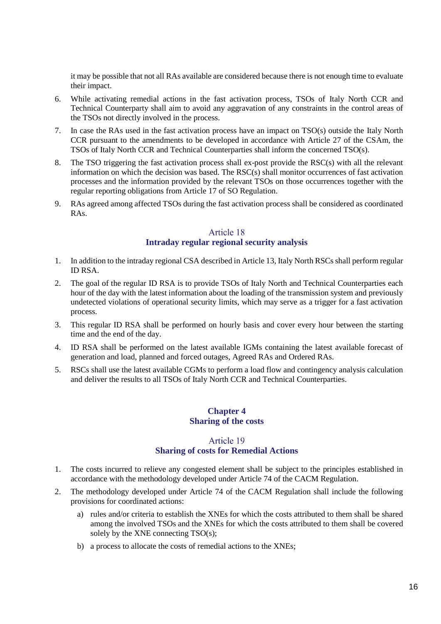it may be possible that not all RAs available are considered because there is not enough time to evaluate their impact.

- 6. While activating remedial actions in the fast activation process, TSOs of Italy North CCR and Technical Counterparty shall aim to avoid any aggravation of any constraints in the control areas of the TSOs not directly involved in the process.
- 7. In case the RAs used in the fast activation process have an impact on TSO(s) outside the Italy North CCR pursuant to the amendments to be developed in accordance with Article 27 of the CSAm, the TSOs of Italy North CCR and Technical Counterparties shall inform the concerned TSO(s).
- 8. The TSO triggering the fast activation process shall ex-post provide the RSC(s) with all the relevant information on which the decision was based. The RSC(s) shall monitor occurrences of fast activation processes and the information provided by the relevant TSOs on those occurrences together with the regular reporting obligations from Article 17 of SO Regulation.
- 9. RAs agreed among affected TSOs during the fast activation process shall be considered as coordinated RAs.

### Article 18 **Intraday regular regional security analysis**

- <span id="page-15-0"></span>1. In addition to the intraday regional CSA described i[n Article 13,](#page-12-0) Italy North RSCs shall perform regular ID RSA.
- 2. The goal of the regular ID RSA is to provide TSOs of Italy North and Technical Counterparties each hour of the day with the latest information about the loading of the transmission system and previously undetected violations of operational security limits, which may serve as a trigger for a fast activation process.
- 3. This regular ID RSA shall be performed on hourly basis and cover every hour between the starting time and the end of the day.
- 4. ID RSA shall be performed on the latest available IGMs containing the latest available forecast of generation and load, planned and forced outages, Agreed RAs and Ordered RAs.
- 5. RSCs shall use the latest available CGMs to perform a load flow and contingency analysis calculation and deliver the results to all TSOs of Italy North CCR and Technical Counterparties.

#### **Chapter 4 Sharing of the costs**

### Article 19 **Sharing of costs for Remedial Actions**

- <span id="page-15-2"></span><span id="page-15-1"></span>1. The costs incurred to relieve any congested element shall be subject to the principles established in accordance with the methodology developed under Article 74 of the CACM Regulation.
- 2. The methodology developed under Article 74 of the CACM Regulation shall include the following provisions for coordinated actions:
	- a) rules and/or criteria to establish the XNEs for which the costs attributed to them shall be shared among the involved TSOs and the XNEs for which the costs attributed to them shall be covered solely by the XNE connecting TSO(s);
	- b) a process to allocate the costs of remedial actions to the XNEs;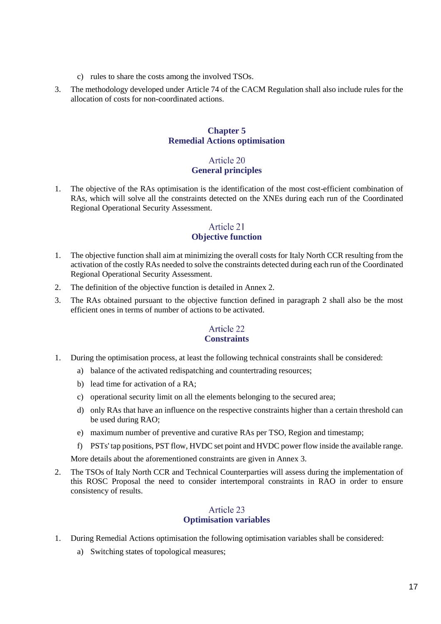- c) rules to share the costs among the involved TSOs.
- 3. The methodology developed under Article 74 of the CACM Regulation shall also include rules for the allocation of costs for non-coordinated actions.

#### **Chapter 5 Remedial Actions optimisation**

### Article 20 **General principles**

<span id="page-16-1"></span><span id="page-16-0"></span>1. The objective of the RAs optimisation is the identification of the most cost-efficient combination of RAs, which will solve all the constraints detected on the XNEs during each run of the Coordinated Regional Operational Security Assessment.

### Article 21 **Objective function**

- <span id="page-16-2"></span>1. The objective function shall aim at minimizing the overall costs for Italy North CCR resulting from the activation of the costly RAs needed to solve the constraints detected during each run of the Coordinated Regional Operational Security Assessment.
- <span id="page-16-5"></span>2. The definition of the objective function is detailed in Annex 2.
- 3. The RAs obtained pursuant to the objective function defined in paragraph [2](#page-16-5) shall also be the most efficient ones in terms of number of actions to be activated.

### <span id="page-16-6"></span>Article 22 **Constraints**

- <span id="page-16-3"></span>1. During the optimisation process, at least the following technical constraints shall be considered:
	- a) balance of the activated redispatching and countertrading resources;
	- b) lead time for activation of a RA;
	- c) operational security limit on all the elements belonging to the secured area;
	- d) only RAs that have an influence on the respective constraints higher than a certain threshold can be used during RAO;
	- e) maximum number of preventive and curative RAs per TSO, Region and timestamp;
	- f) PSTs' tap positions, PST flow, HVDC set point and HVDC power flow inside the available range.

More details about the aforementioned constraints are given in Annex 3.

2. The TSOs of Italy North CCR and Technical Counterparties will assess during the implementation of this ROSC Proposal the need to consider intertemporal constraints in RAO in order to ensure consistency of results.

#### Article 23 **Optimisation variables**

- <span id="page-16-4"></span>1. During Remedial Actions optimisation the following optimisation variables shall be considered:
	- a) Switching states of topological measures;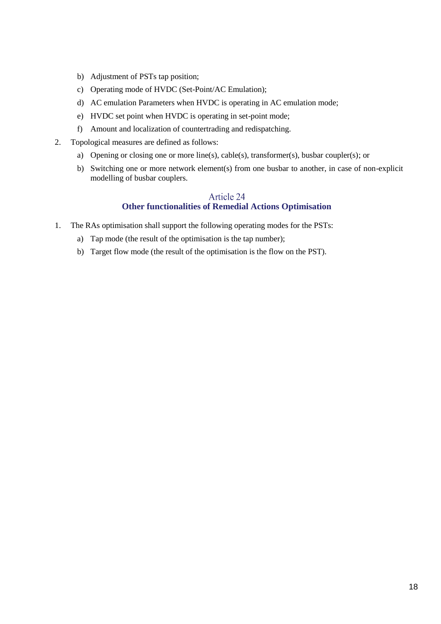- b) Adjustment of PSTs tap position;
- c) Operating mode of HVDC (Set-Point/AC Emulation);
- d) AC emulation Parameters when HVDC is operating in AC emulation mode;
- e) HVDC set point when HVDC is operating in set-point mode;
- f) Amount and localization of countertrading and redispatching.
- 2. Topological measures are defined as follows:
	- a) Opening or closing one or more line(s), cable(s), transformer(s), busbar coupler(s); or
	- b) Switching one or more network element(s) from one busbar to another, in case of non-explicit modelling of busbar couplers.

#### Article 24 **Other functionalities of Remedial Actions Optimisation**

- <span id="page-17-0"></span>1. The RAs optimisation shall support the following operating modes for the PSTs:
	- a) Tap mode (the result of the optimisation is the tap number);
	- b) Target flow mode (the result of the optimisation is the flow on the PST).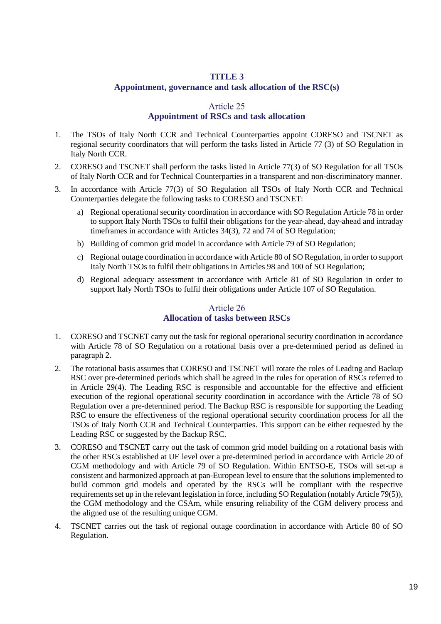### **TITLE 3**

#### **Appointment, governance and task allocation of the RSC(s)**

#### Article 25

#### **Appointment of RSCs and task allocation**

- <span id="page-18-1"></span><span id="page-18-0"></span>1. The TSOs of Italy North CCR and Technical Counterparties appoint CORESO and TSCNET as regional security coordinators that will perform the tasks listed in Article 77 (3) of SO Regulation in Italy North CCR.
- 2. CORESO and TSCNET shall perform the tasks listed in Article 77(3) of SO Regulation for all TSOs of Italy North CCR and for Technical Counterparties in a transparent and non-discriminatory manner.
- 3. In accordance with Article 77(3) of SO Regulation all TSOs of Italy North CCR and Technical Counterparties delegate the following tasks to CORESO and TSCNET:
	- a) Regional operational security coordination in accordance with SO Regulation Article 78 in order to support Italy North TSOs to fulfil their obligations for the year-ahead, day-ahead and intraday timeframes in accordance with Articles 34(3), 72 and 74 of SO Regulation;
	- b) Building of common grid model in accordance with Article 79 of SO Regulation;
	- c) Regional outage coordination in accordance with Article 80 of SO Regulation, in order to support Italy North TSOs to fulfil their obligations in Articles 98 and 100 of SO Regulation;
	- d) Regional adequacy assessment in accordance with Article 81 of SO Regulation in order to support Italy North TSOs to fulfil their obligations under Article 107 of SO Regulation.

### Article 26 **Allocation of tasks between RSCs**

- <span id="page-18-2"></span>1. CORESO and TSCNET carry out the task for regional operational security coordination in accordance with Article 78 of SO Regulation on a rotational basis over a pre-determined period as defined in paragraph 2.
- 2. The rotational basis assumes that CORESO and TSCNET will rotate the roles of Leading and Backup RSC over pre-determined periods which shall be agreed in the rules for operation of RSCs referred to in Article 29(4). The Leading RSC is responsible and accountable for the effective and efficient execution of the regional operational security coordination in accordance with the Article 78 of SO Regulation over a pre-determined period. The Backup RSC is responsible for supporting the Leading RSC to ensure the effectiveness of the regional operational security coordination process for all the TSOs of Italy North CCR and Technical Counterparties. This support can be either requested by the Leading RSC or suggested by the Backup RSC.
- 3. CORESO and TSCNET carry out the task of common grid model building on a rotational basis with the other RSCs established at UE level over a pre-determined period in accordance with Article 20 of CGM methodology and with Article 79 of SO Regulation. Within ENTSO-E, TSOs will set-up a consistent and harmonized approach at pan-European level to ensure that the solutions implemented to build common grid models and operated by the RSCs will be compliant with the respective requirements set up in the relevant legislation in force, including SO Regulation (notably Article 79(5)), the CGM methodology and the CSAm, while ensuring reliability of the CGM delivery process and the aligned use of the resulting unique CGM.
- 4. TSCNET carries out the task of regional outage coordination in accordance with Article 80 of SO Regulation.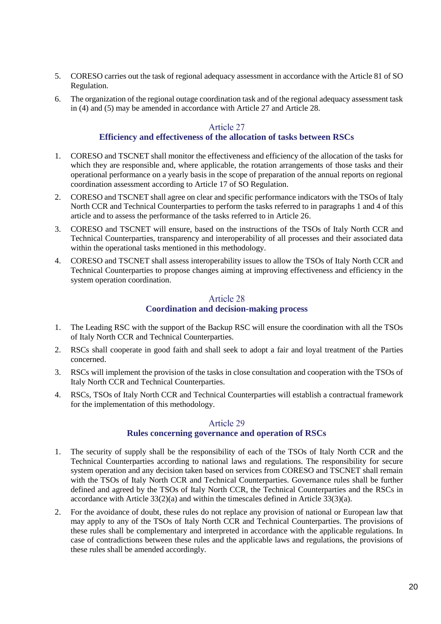- 5. CORESO carries out the task of regional adequacy assessment in accordance with the Article 81 of SO Regulation.
- 6. The organization of the regional outage coordination task and of the regional adequacy assessment task in (4) and (5) may be amended in accordance with Article 27 and Article 28.

### Article 27

### **Efficiency and effectiveness of the allocation of tasks between RSCs**

- <span id="page-19-0"></span>1. CORESO and TSCNET shall monitor the effectiveness and efficiency of the allocation of the tasks for which they are responsible and, where applicable, the rotation arrangements of those tasks and their operational performance on a yearly basis in the scope of preparation of the annual reports on regional coordination assessment according to Article 17 of SO Regulation.
- 2. CORESO and TSCNET shall agree on clear and specific performance indicators with the TSOs of Italy North CCR and Technical Counterparties to perform the tasks referred to in paragraphs 1 and 4 of this article and to assess the performance of the tasks referred to in Article 26.
- 3. CORESO and TSCNET will ensure, based on the instructions of the TSOs of Italy North CCR and Technical Counterparties, transparency and interoperability of all processes and their associated data within the operational tasks mentioned in this methodology.
- 4. CORESO and TSCNET shall assess interoperability issues to allow the TSOs of Italy North CCR and Technical Counterparties to propose changes aiming at improving effectiveness and efficiency in the system operation coordination.

### Article 28 **Coordination and decision-making process**

- <span id="page-19-1"></span>1. The Leading RSC with the support of the Backup RSC will ensure the coordination with all the TSOs of Italy North CCR and Technical Counterparties.
- 2. RSCs shall cooperate in good faith and shall seek to adopt a fair and loyal treatment of the Parties concerned.
- 3. RSCs will implement the provision of the tasks in close consultation and cooperation with the TSOs of Italy North CCR and Technical Counterparties.
- 4. RSCs, TSOs of Italy North CCR and Technical Counterparties will establish a contractual framework for the implementation of this methodology.

### Article 29

#### **Rules concerning governance and operation of RSCs**

- <span id="page-19-2"></span>1. The security of supply shall be the responsibility of each of the TSOs of Italy North CCR and the Technical Counterparties according to national laws and regulations. The responsibility for secure system operation and any decision taken based on services from CORESO and TSCNET shall remain with the TSOs of Italy North CCR and Technical Counterparties. Governance rules shall be further defined and agreed by the TSOs of Italy North CCR, the Technical Counterparties and the RSCs in accordance with Article  $33(2)(a)$  and within the timescales defined in Article  $33(3)(a)$ .
- 2. For the avoidance of doubt, these rules do not replace any provision of national or European law that may apply to any of the TSOs of Italy North CCR and Technical Counterparties. The provisions of these rules shall be complementary and interpreted in accordance with the applicable regulations. In case of contradictions between these rules and the applicable laws and regulations, the provisions of these rules shall be amended accordingly.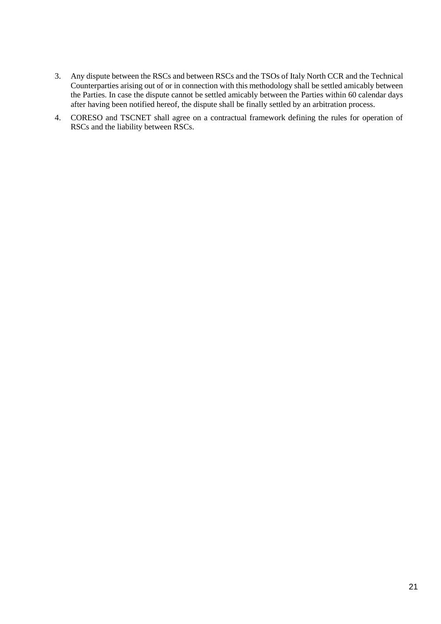- 3. Any dispute between the RSCs and between RSCs and the TSOs of Italy North CCR and the Technical Counterparties arising out of or in connection with this methodology shall be settled amicably between the Parties. In case the dispute cannot be settled amicably between the Parties within 60 calendar days after having been notified hereof, the dispute shall be finally settled by an arbitration process.
- 4. CORESO and TSCNET shall agree on a contractual framework defining the rules for operation of RSCs and the liability between RSCs.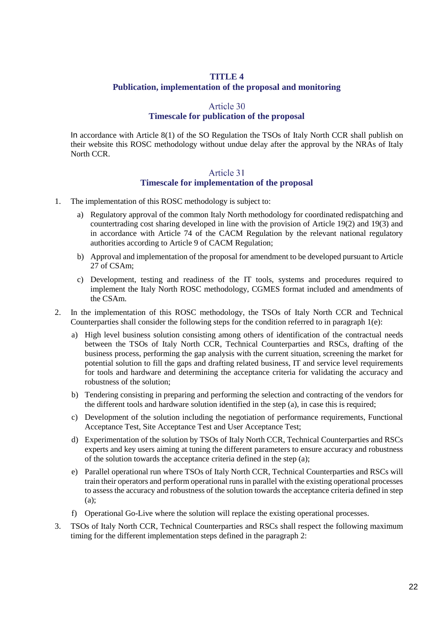#### **TITLE 4**

#### **Publication, implementation of the proposal and monitoring**

#### Article 30

#### **Timescale for publication of the proposal**

<span id="page-21-1"></span><span id="page-21-0"></span>In accordance with Article 8(1) of the SO Regulation the TSOs of Italy North CCR shall publish on their website this ROSC methodology without undue delay after the approval by the NRAs of Italy North CCR.

#### Article 31 **Timescale for implementation of the proposal**

- <span id="page-21-2"></span>1. The implementation of this ROSC methodology is subject to:
	- a) Regulatory approval of the common Italy North methodology for coordinated redispatching and countertrading cost sharing developed in line with the provision of Article 19(2) and 19(3) and in accordance with Article 74 of the CACM Regulation by the relevant national regulatory authorities according to Article 9 of CACM Regulation;
	- b) Approval and implementation of the proposal for amendment to be developed pursuant to Article 27 of CSAm;
	- c) Development, testing and readiness of the IT tools, systems and procedures required to implement the Italy North ROSC methodology, CGMES format included and amendments of the CSAm.
- 2. In the implementation of this ROSC methodology, the TSOs of Italy North CCR and Technical Counterparties shall consider the following steps for the condition referred to in paragraph 1(e):
	- a) High level business solution consisting among others of identification of the contractual needs between the TSOs of Italy North CCR, Technical Counterparties and RSCs, drafting of the business process, performing the gap analysis with the current situation, screening the market for potential solution to fill the gaps and drafting related business, IT and service level requirements for tools and hardware and determining the acceptance criteria for validating the accuracy and robustness of the solution;
	- b) Tendering consisting in preparing and performing the selection and contracting of the vendors for the different tools and hardware solution identified in the step (a), in case this is required;
	- c) Development of the solution including the negotiation of performance requirements, Functional Acceptance Test, Site Acceptance Test and User Acceptance Test;
	- d) Experimentation of the solution by TSOs of Italy North CCR, Technical Counterparties and RSCs experts and key users aiming at tuning the different parameters to ensure accuracy and robustness of the solution towards the acceptance criteria defined in the step (a);
	- e) Parallel operational run where TSOs of Italy North CCR, Technical Counterparties and RSCs will train their operators and perform operational runs in parallel with the existing operational processes to assess the accuracy and robustness of the solution towards the acceptance criteria defined in step (a);
	- f) Operational Go-Live where the solution will replace the existing operational processes.
- 3. TSOs of Italy North CCR, Technical Counterparties and RSCs shall respect the following maximum timing for the different implementation steps defined in the paragraph 2: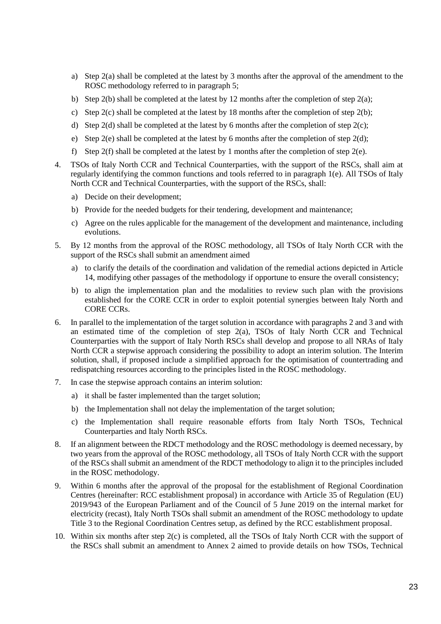- a) Step 2(a) shall be completed at the latest by 3 months after the approval of the amendment to the ROSC methodology referred to in paragraph 5;
- b) Step 2(b) shall be completed at the latest by 12 months after the completion of step 2(a);
- c) Step 2(c) shall be completed at the latest by 18 months after the completion of step 2(b);
- d) Step 2(d) shall be completed at the latest by 6 months after the completion of step 2(c);
- e) Step 2(e) shall be completed at the latest by 6 months after the completion of step 2(d);
- f) Step 2(f) shall be completed at the latest by 1 months after the completion of step 2(e).
- 4. TSOs of Italy North CCR and Technical Counterparties, with the support of the RSCs, shall aim at regularly identifying the common functions and tools referred to in paragraph 1(e). All TSOs of Italy North CCR and Technical Counterparties, with the support of the RSCs, shall:
	- a) Decide on their development;
	- b) Provide for the needed budgets for their tendering, development and maintenance;
	- c) Agree on the rules applicable for the management of the development and maintenance, including evolutions.
- 5. By 12 months from the approval of the ROSC methodology, all TSOs of Italy North CCR with the support of the RSCs shall submit an amendment aimed
	- a) to clarify the details of the coordination and validation of the remedial actions depicted in Article 14, modifying other passages of the methodology if opportune to ensure the overall consistency;
	- b) to align the implementation plan and the modalities to review such plan with the provisions established for the CORE CCR in order to exploit potential synergies between Italy North and CORE CCRs.
- 6. In parallel to the implementation of the target solution in accordance with paragraphs 2 and 3 and with an estimated time of the completion of step 2(a), TSOs of Italy North CCR and Technical Counterparties with the support of Italy North RSCs shall develop and propose to all NRAs of Italy North CCR a stepwise approach considering the possibility to adopt an interim solution. The Interim solution, shall, if proposed include a simplified approach for the optimisation of countertrading and redispatching resources according to the principles listed in the ROSC methodology.
- 7. In case the stepwise approach contains an interim solution:
	- a) it shall be faster implemented than the target solution;
	- b) the Implementation shall not delay the implementation of the target solution;
	- c) the Implementation shall require reasonable efforts from Italy North TSOs, Technical Counterparties and Italy North RSCs.
- 8. If an alignment between the RDCT methodology and the ROSC methodology is deemed necessary, by two years from the approval of the ROSC methodology, all TSOs of Italy North CCR with the support of the RSCs shall submit an amendment of the RDCT methodology to align it to the principles included in the ROSC methodology.
- 9. Within 6 months after the approval of the proposal for the establishment of Regional Coordination Centres (hereinafter: RCC establishment proposal) in accordance with Article 35 of Regulation (EU) 2019/943 of the European Parliament and of the Council of 5 June 2019 on the internal market for electricity (recast), Italy North TSOs shall submit an amendment of the ROSC methodology to update Title 3 to the Regional Coordination Centres setup, as defined by the RCC establishment proposal.
- 10. Within six months after step 2(c) is completed, all the TSOs of Italy North CCR with the support of the RSCs shall submit an amendment to Annex 2 aimed to provide details on how TSOs, Technical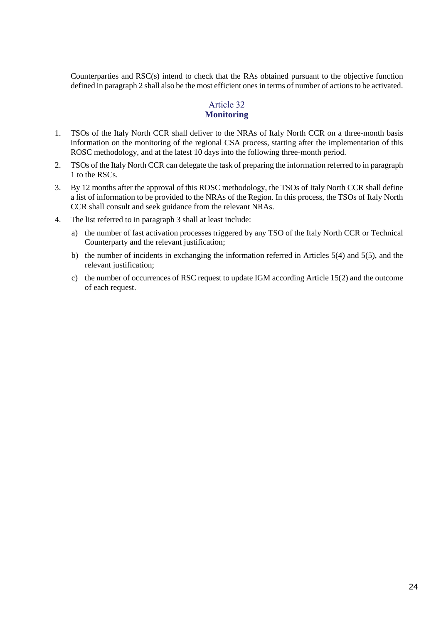Counterparties and RSC(s) intend to check that the RAs obtained pursuant to the objective function defined in paragrap[h 2](#page-16-5) shall also be the most efficient ones in terms of number of actions to be activated.

# Article 32 **Monitoring**

- <span id="page-23-0"></span>1. TSOs of the Italy North CCR shall deliver to the NRAs of Italy North CCR on a three-month basis information on the monitoring of the regional CSA process, starting after the implementation of this ROSC methodology, and at the latest 10 days into the following three-month period.
- 2. TSOs of the Italy North CCR can delegate the task of preparing the information referred to in paragraph 1 to the RSCs.
- 3. By 12 months after the approval of this ROSC methodology, the TSOs of Italy North CCR shall define a list of information to be provided to the NRAs of the Region. In this process, the TSOs of Italy North CCR shall consult and seek guidance from the relevant NRAs.
- 4. The list referred to in paragraph 3 shall at least include:
	- a) the number of fast activation processes triggered by any TSO of the Italy North CCR or Technical Counterparty and the relevant justification;
	- b) the number of incidents in exchanging the information referred in Articles 5(4) and 5(5), and the relevant justification;
	- c) the number of occurrences of RSC request to update IGM according Article 15(2) and the outcome of each request.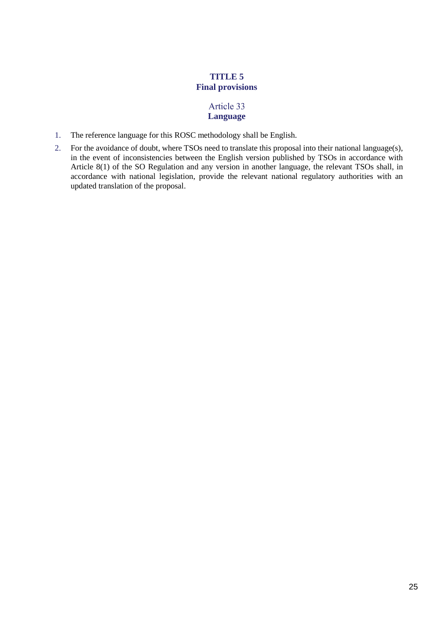# **TITLE 5 Final provisions**

## Article 33 **Language**

- <span id="page-24-1"></span><span id="page-24-0"></span>1. The reference language for this ROSC methodology shall be English.
- 2. For the avoidance of doubt, where TSOs need to translate this proposal into their national language(s), in the event of inconsistencies between the English version published by TSOs in accordance with Article 8(1) of the SO Regulation and any version in another language, the relevant TSOs shall, in accordance with national legislation, provide the relevant national regulatory authorities with an updated translation of the proposal.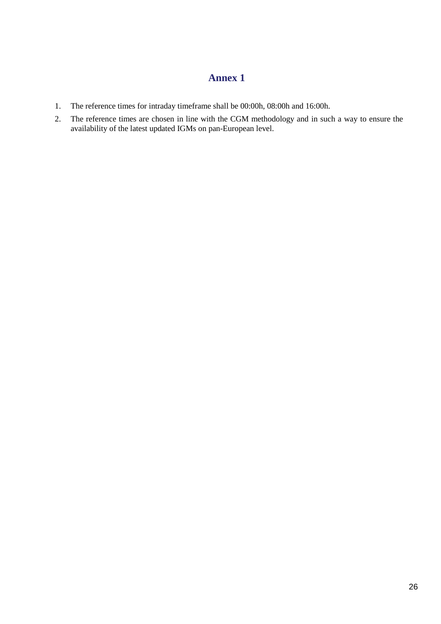# **Annex 1**

- <span id="page-25-0"></span>1. The reference times for intraday timeframe shall be 00:00h, 08:00h and 16:00h.
- 2. The reference times are chosen in line with the CGM methodology and in such a way to ensure the availability of the latest updated IGMs on pan-European level.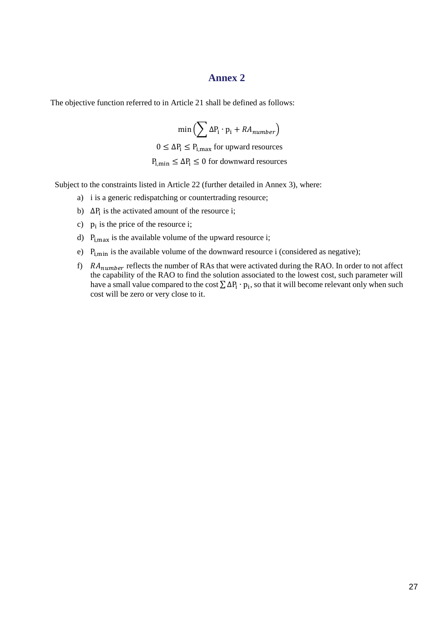### **Annex 2**

<span id="page-26-0"></span>The objective function referred to in Article 21 shall be defined as follows:

 $min\left(\sum_{i} \Delta P_i \cdot p_i + RA_{number}\right)$  $0 \leq \Delta P_i \leq P_{i,max}$  for upward resources  $P_{i,min} \leq \Delta P_i \leq 0$  for downward resources

Subject to the constraints listed in Article 22 (further detailed in Annex 3), where:

- a) i is a generic redispatching or countertrading resource;
- b)  $\Delta P_i$  is the activated amount of the resource i;
- c)  $p_i$  is the price of the resource i;
- d)  $P_{i,max}$  is the available volume of the upward resource i;
- e)  $P_{i,min}$  is the available volume of the downward resource i (considered as negative);
- f)  $RA_{number}$  reflects the number of RAs that were activated during the RAO. In order to not affect the capability of the RAO to find the solution associated to the lowest cost, such parameter will have a small value compared to the cost  $\sum \Delta P_i \cdot p_i$ , so that it will become relevant only when such cost will be zero or very close to it.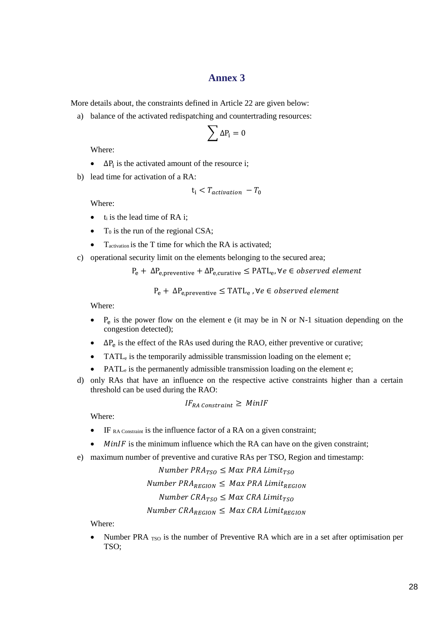### **Annex 3**

<span id="page-27-0"></span>More details about, the constraints defined in [Article 22](#page-16-6) are given below:

a) balance of the activated redispatching and countertrading resources:

$$
\sum \Delta P_i = 0
$$

Where:

- $\Delta P_i$  is the activated amount of the resource i;
- b) lead time for activation of a RA:

$$
t_i < T_{activation} - T_0
$$

Where:

- $\bullet$  t<sub>i</sub> is the lead time of RA i:
- $T_0$  is the run of the regional CSA;
- $\bullet$  T<sub>activation</sub> is the T time for which the RA is activated;
- c) operational security limit on the elements belonging to the secured area;

 $\rm P_{e} + \Delta \rm P_{e,preventive} + \Delta \rm P_{e,curative} \leq \rm {PATH_{e}}, \forall e \in observed \; element$ 

 $\rm P_{e} + \Delta \rm P_{e,preventive} \leq TATL_{e}$  ,  $\forall e \in observed\ element$ 

Where:

- $P_e$  is the power flow on the element e (it may be in N or N-1 situation depending on the congestion detected);
- $\Delta P_e$  is the effect of the RAs used during the RAO, either preventive or curative;
- TATL<sub>e</sub> is the temporarily admissible transmission loading on the element e;
- PATL<sub>e</sub> is the permanently admissible transmission loading on the element e;
- d) only RAs that have an influence on the respective active constraints higher than a certain threshold can be used during the RAO:

$$
IF_{RA\;constraint} \geq \; MinIF
$$

Where:

- IF RA Constraint is the influence factor of a RA on a given constraint;
- *MinIF* is the minimum influence which the RA can have on the given constraint;
- e) maximum number of preventive and curative RAs per TSO, Region and timestamp:

Number  $PRA_{TSO} \leq Max PRA Limit_{TSO}$ Number  $PRA_{REGION} \leq$  Max PRA Limit<sub>REGION</sub> Number  $CRA_{TSO} \leq Max CRA$  Limit<sub>TSO</sub> Number  $CRA_{REGION} \leq Max CRA$  Limit<sub>REGION</sub>

Where:

• Number PRA  $_{\text{TSO}}$  is the number of Preventive RA which are in a set after optimisation per TSO;